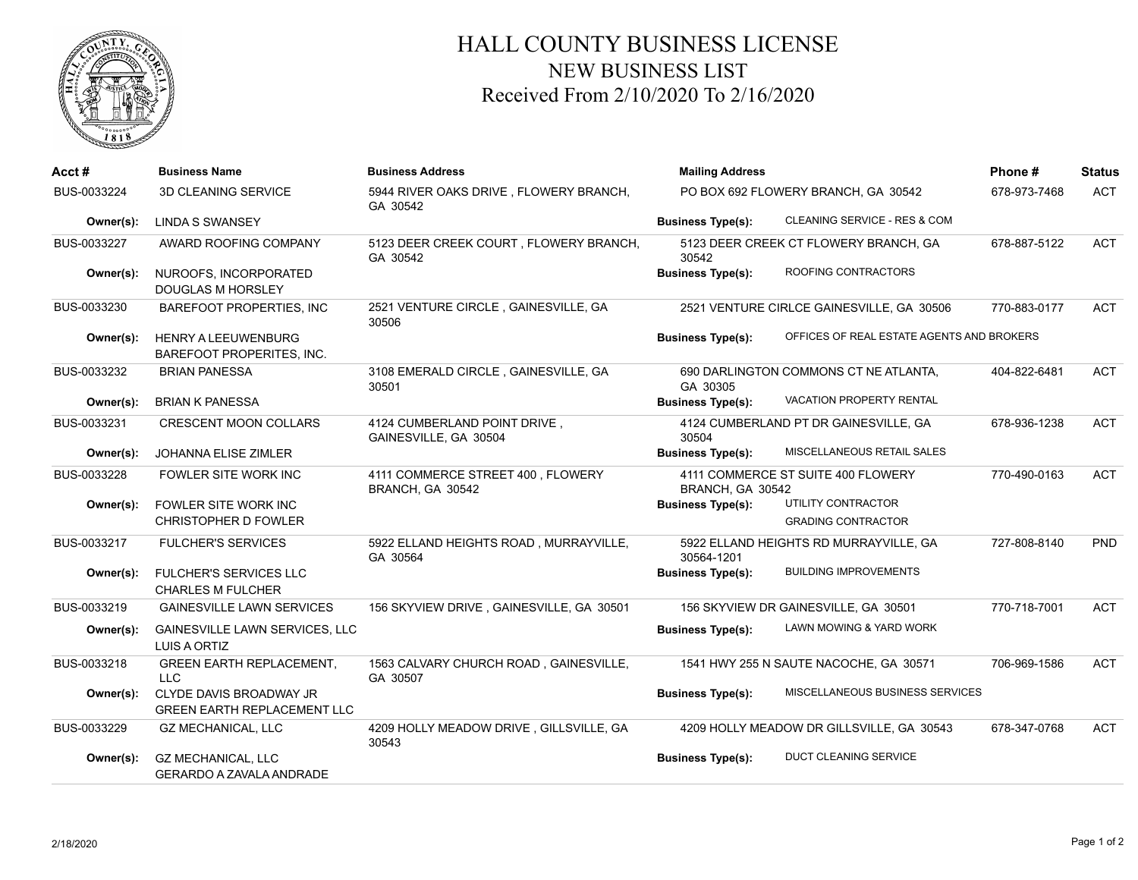

## HALL COUNTY BUSINESS LICENSE NEW BUSINESS LIST Received From 2/10/2020 To 2/16/2020

| Acct#       | <b>Business Name</b>                                          | <b>Business Address</b>                               | <b>Mailing Address</b>                         | Phone#                                          | <b>Status</b> |            |
|-------------|---------------------------------------------------------------|-------------------------------------------------------|------------------------------------------------|-------------------------------------------------|---------------|------------|
| BUS-0033224 | 3D CLEANING SERVICE                                           | 5944 RIVER OAKS DRIVE, FLOWERY BRANCH,<br>GA 30542    | PO BOX 692 FLOWERY BRANCH, GA 30542            |                                                 | 678-973-7468  | <b>ACT</b> |
| Owner(s):   | <b>LINDA S SWANSEY</b>                                        |                                                       | <b>Business Type(s):</b>                       | CLEANING SERVICE - RES & COM                    |               |            |
| BUS-0033227 | AWARD ROOFING COMPANY                                         | 5123 DEER CREEK COURT, FLOWERY BRANCH,<br>GA 30542    | 5123 DEER CREEK CT FLOWERY BRANCH, GA<br>30542 |                                                 | 678-887-5122  | <b>ACT</b> |
| Owner(s):   | NUROOFS, INCORPORATED<br><b>DOUGLAS M HORSLEY</b>             |                                                       | <b>Business Type(s):</b>                       | ROOFING CONTRACTORS                             |               |            |
| BUS-0033230 | BAREFOOT PROPERTIES, INC                                      | 2521 VENTURE CIRCLE, GAINESVILLE, GA<br>30506         |                                                | 2521 VENTURE CIRLCE GAINESVILLE, GA 30506       | 770-883-0177  | <b>ACT</b> |
| Owner(s):   | <b>HENRY A LEEUWENBURG</b><br>BAREFOOT PROPERITES, INC.       |                                                       | <b>Business Type(s):</b>                       | OFFICES OF REAL ESTATE AGENTS AND BROKERS       |               |            |
| BUS-0033232 | <b>BRIAN PANESSA</b>                                          | 3108 EMERALD CIRCLE, GAINESVILLE, GA<br>30501         | GA 30305                                       | 690 DARLINGTON COMMONS CT NE ATLANTA,           | 404-822-6481  | <b>ACT</b> |
| Owner(s):   | <b>BRIAN K PANESSA</b>                                        |                                                       | <b>Business Type(s):</b>                       | VACATION PROPERTY RENTAL                        |               |            |
| BUS-0033231 | <b>CRESCENT MOON COLLARS</b>                                  | 4124 CUMBERLAND POINT DRIVE,<br>GAINESVILLE, GA 30504 | 30504                                          | 4124 CUMBERLAND PT DR GAINESVILLE, GA           | 678-936-1238  | <b>ACT</b> |
| Owner(s):   | JOHANNA ELISE ZIMLER                                          |                                                       | <b>Business Type(s):</b>                       | MISCELLANEOUS RETAIL SALES                      |               |            |
| BUS-0033228 | <b>FOWLER SITE WORK INC</b>                                   | 4111 COMMERCE STREET 400, FLOWERY<br>BRANCH, GA 30542 | BRANCH, GA 30542                               | 4111 COMMERCE ST SUITE 400 FLOWERY              | 770-490-0163  | <b>ACT</b> |
| Owner(s):   | FOWLER SITE WORK INC<br><b>CHRISTOPHER D FOWLER</b>           |                                                       | <b>Business Type(s):</b>                       | UTILITY CONTRACTOR<br><b>GRADING CONTRACTOR</b> |               |            |
| BUS-0033217 | <b>FULCHER'S SERVICES</b>                                     | 5922 ELLAND HEIGHTS ROAD, MURRAYVILLE,<br>GA 30564    | 30564-1201                                     | 5922 ELLAND HEIGHTS RD MURRAYVILLE, GA          | 727-808-8140  | PND        |
| Owner(s):   | FULCHER'S SERVICES LLC<br><b>CHARLES M FULCHER</b>            |                                                       | <b>Business Type(s):</b>                       | <b>BUILDING IMPROVEMENTS</b>                    |               |            |
| BUS-0033219 | <b>GAINESVILLE LAWN SERVICES</b>                              | 156 SKYVIEW DRIVE, GAINESVILLE, GA 30501              |                                                | 156 SKYVIEW DR GAINESVILLE, GA 30501            | 770-718-7001  | <b>ACT</b> |
| Owner(s):   | <b>GAINESVILLE LAWN SERVICES, LLC</b><br><b>LUIS A ORTIZ</b>  |                                                       | <b>Business Type(s):</b>                       | LAWN MOWING & YARD WORK                         |               |            |
| BUS-0033218 | <b>GREEN EARTH REPLACEMENT,</b><br><b>LLC</b>                 | 1563 CALVARY CHURCH ROAD, GAINESVILLE,<br>GA 30507    |                                                | 1541 HWY 255 N SAUTE NACOCHE, GA 30571          | 706-969-1586  | <b>ACT</b> |
| Owner(s):   | CLYDE DAVIS BROADWAY JR<br><b>GREEN EARTH REPLACEMENT LLC</b> |                                                       | <b>Business Type(s):</b>                       | MISCELLANEOUS BUSINESS SERVICES                 |               |            |
| BUS-0033229 | <b>GZ MECHANICAL, LLC</b>                                     | 4209 HOLLY MEADOW DRIVE, GILLSVILLE, GA<br>30543      |                                                | 4209 HOLLY MEADOW DR GILLSVILLE, GA 30543       | 678-347-0768  | <b>ACT</b> |
| Owner(s):   | <b>GZ MECHANICAL, LLC</b><br><b>GERARDO A ZAVALA ANDRADE</b>  |                                                       | <b>Business Type(s):</b>                       | <b>DUCT CLEANING SERVICE</b>                    |               |            |